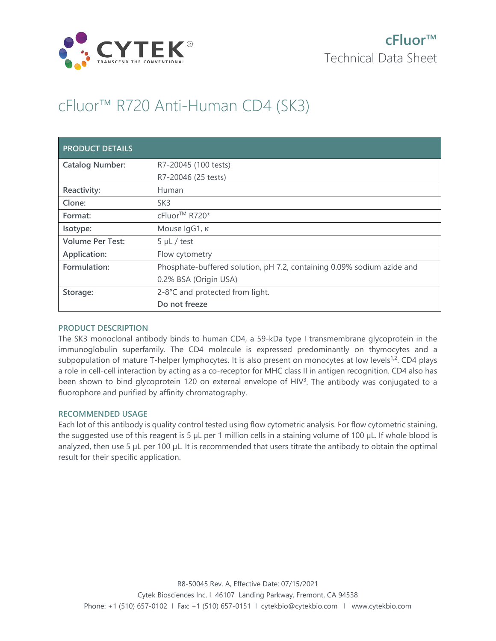

# cFluor™ R720 Anti-Human CD4 (SK3)

| <b>PRODUCT DETAILS</b>  |                                                                        |
|-------------------------|------------------------------------------------------------------------|
| <b>Catalog Number:</b>  | R7-20045 (100 tests)                                                   |
|                         | R7-20046 (25 tests)                                                    |
| Reactivity:             | Human                                                                  |
| Clone:                  | SK <sub>3</sub>                                                        |
| Format:                 | cFluor <sup>™</sup> R720*                                              |
| Isotype:                | Mouse IgG1, к                                                          |
| <b>Volume Per Test:</b> | $5 \mu L$ / test                                                       |
| Application:            | Flow cytometry                                                         |
| Formulation:            | Phosphate-buffered solution, pH 7.2, containing 0.09% sodium azide and |
|                         | 0.2% BSA (Origin USA)                                                  |
| Storage:                | 2-8°C and protected from light.                                        |
|                         | Do not freeze                                                          |

## **PRODUCT DESCRIPTION**

The SK3 monoclonal antibody binds to human CD4, a 59-kDa type I transmembrane glycoprotein in the immunoglobulin superfamily. The CD4 molecule is expressed predominantly on thymocytes and a subpopulation of mature T-helper lymphocytes. It is also present on monocytes at low levels<sup>1,2</sup>. CD4 plays a role in cell-cell interaction by acting as a co-receptor for MHC class II in antigen recognition. CD4 also has been shown to bind glycoprotein 120 on external envelope of HIV<sup>3</sup>. The antibody was conjugated to a fluorophore and purified by affinity chromatography.

## **RECOMMENDED USAGE**

Each lot of this antibody is quality control tested using flow cytometric analysis. For flow cytometric staining, the suggested use of this reagent is 5 µL per 1 million cells in a staining volume of 100 µL. If whole blood is analyzed, then use 5 µL per 100 µL. It is recommended that users titrate the antibody to obtain the optimal result for their specific application.